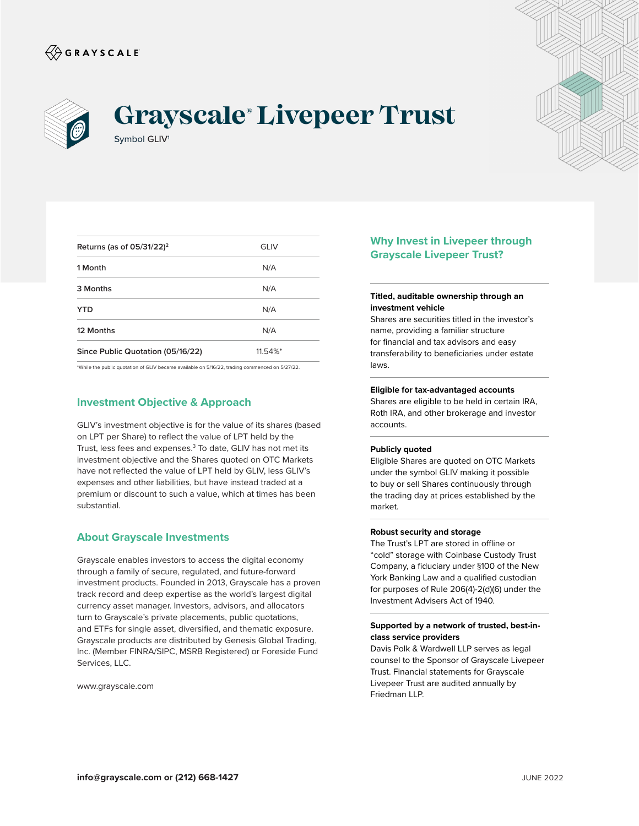



# Symbol GLIV1 **Grayscale® Livepeer Trust**



| Returns (as of $05/31/22$ ) <sup>2</sup> | GLIV                   |  |
|------------------------------------------|------------------------|--|
| 1 Month                                  | N/A                    |  |
| 3 Months                                 | N/A                    |  |
| <b>YTD</b>                               | N/A                    |  |
| 12 Months                                | N/A                    |  |
| Since Public Quotation (05/16/22)        | $11.54\%$ <sup>*</sup> |  |

\*While the public quotation of GLIV became available on 5/16/22, trading commenced on 5/27/22.

# **Investment Objective & Approach**

GLIV's investment objective is for the value of its shares (based on LPT per Share) to reflect the value of LPT held by the Trust, less fees and expenses.<sup>3</sup> To date, GLIV has not met its investment objective and the Shares quoted on OTC Markets have not reflected the value of LPT held by GLIV, less GLIV's expenses and other liabilities, but have instead traded at a premium or discount to such a value, which at times has been substantial.

## **About Grayscale Investments**

Grayscale enables investors to access the digital economy through a family of secure, regulated, and future-forward investment products. Founded in 2013, Grayscale has a proven track record and deep expertise as the world's largest digital currency asset manager. Investors, advisors, and allocators turn to Grayscale's private placements, public quotations, and ETFs for single asset, diversified, and thematic exposure. Grayscale products are distributed by Genesis Global Trading, Inc. (Member FINRA/SIPC, MSRB Registered) or Foreside Fund Services, LLC.

www.grayscale.com

# **Why Invest in Livepeer through Grayscale Livepeer Trust?**

#### **Titled, auditable ownership through an investment vehicle**

Shares are securities titled in the investor's name, providing a familiar structure for financial and tax advisors and easy transferability to beneficiaries under estate laws.

#### **Eligible for tax-advantaged accounts**

Shares are eligible to be held in certain IRA, Roth IRA, and other brokerage and investor accounts.

#### **Publicly quoted**

Eligible Shares are quoted on OTC Markets under the symbol GLIV making it possible to buy or sell Shares continuously through the trading day at prices established by the market.

## **Robust security and storage**

The Trust's LPT are stored in offline or "cold" storage with Coinbase Custody Trust Company, a fiduciary under §100 of the New York Banking Law and a qualified custodian for purposes of Rule 206(4)-2(d)(6) under the Investment Advisers Act of 1940.

## **Supported by a network of trusted, best-inclass service providers**

Davis Polk & Wardwell LLP serves as legal counsel to the Sponsor of Grayscale Livepeer Trust. Financial statements for Grayscale Livepeer Trust are audited annually by Friedman LLP.